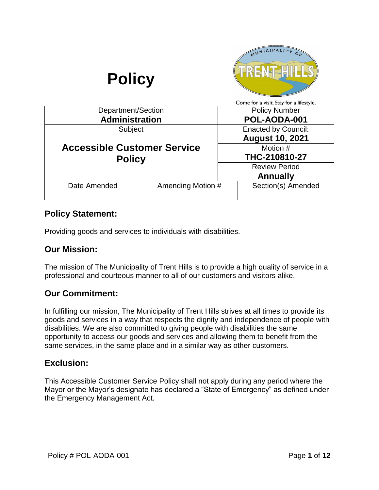

## **Policy Statement:**

Providing goods and services to individuals with disabilities.

### **Our Mission:**

The mission of The Municipality of Trent Hills is to provide a high quality of service in a professional and courteous manner to all of our customers and visitors alike.

## **Our Commitment:**

In fulfilling our mission, The Municipality of Trent Hills strives at all times to provide its goods and services in a way that respects the dignity and independence of people with disabilities. We are also committed to giving people with disabilities the same opportunity to access our goods and services and allowing them to benefit from the same services, in the same place and in a similar way as other customers.

## **Exclusion:**

This Accessible Customer Service Policy shall not apply during any period where the Mayor or the Mayor's designate has declared a "State of Emergency" as defined under the Emergency Management Act.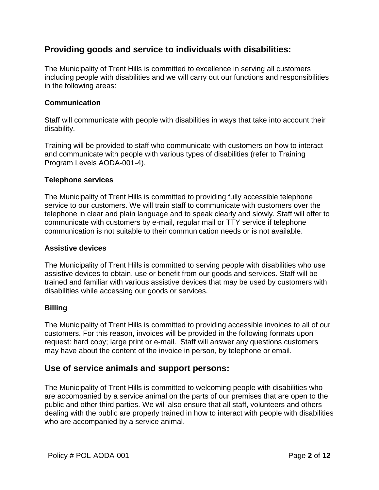## **Providing goods and service to individuals with disabilities:**

The Municipality of Trent Hills is committed to excellence in serving all customers including people with disabilities and we will carry out our functions and responsibilities in the following areas:

### **Communication**

Staff will communicate with people with disabilities in ways that take into account their disability.

Training will be provided to staff who communicate with customers on how to interact and communicate with people with various types of disabilities (refer to Training Program Levels AODA-001-4).

### **Telephone services**

The Municipality of Trent Hills is committed to providing fully accessible telephone service to our customers. We will train staff to communicate with customers over the telephone in clear and plain language and to speak clearly and slowly. Staff will offer to communicate with customers by e-mail, regular mail or TTY service if telephone communication is not suitable to their communication needs or is not available.

### **Assistive devices**

The Municipality of Trent Hills is committed to serving people with disabilities who use assistive devices to obtain, use or benefit from our goods and services. Staff will be trained and familiar with various assistive devices that may be used by customers with disabilities while accessing our goods or services.

### **Billing**

The Municipality of Trent Hills is committed to providing accessible invoices to all of our customers. For this reason, invoices will be provided in the following formats upon request: hard copy; large print or e-mail. Staff will answer any questions customers may have about the content of the invoice in person, by telephone or email.

## **Use of service animals and support persons:**

The Municipality of Trent Hills is committed to welcoming people with disabilities who are accompanied by a service animal on the parts of our premises that are open to the public and other third parties. We will also ensure that all staff, volunteers and others dealing with the public are properly trained in how to interact with people with disabilities who are accompanied by a service animal.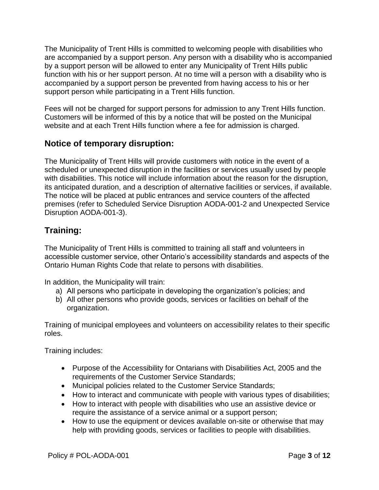The Municipality of Trent Hills is committed to welcoming people with disabilities who are accompanied by a support person. Any person with a disability who is accompanied by a support person will be allowed to enter any Municipality of Trent Hills public function with his or her support person. At no time will a person with a disability who is accompanied by a support person be prevented from having access to his or her support person while participating in a Trent Hills function.

Fees will not be charged for support persons for admission to any Trent Hills function. Customers will be informed of this by a notice that will be posted on the Municipal website and at each Trent Hills function where a fee for admission is charged.

## **Notice of temporary disruption:**

The Municipality of Trent Hills will provide customers with notice in the event of a scheduled or unexpected disruption in the facilities or services usually used by people with disabilities. This notice will include information about the reason for the disruption, its anticipated duration, and a description of alternative facilities or services, if available. The notice will be placed at public entrances and service counters of the affected premises (refer to Scheduled Service Disruption AODA-001-2 and Unexpected Service Disruption AODA-001-3).

# **Training:**

The Municipality of Trent Hills is committed to training all staff and volunteers in accessible customer service, other Ontario's accessibility standards and aspects of the Ontario Human Rights Code that relate to persons with disabilities.

In addition, the Municipality will train:

- a) All persons who participate in developing the organization's policies; and
- b) All other persons who provide goods, services or facilities on behalf of the organization.

Training of municipal employees and volunteers on accessibility relates to their specific roles.

Training includes:

- Purpose of the Accessibility for Ontarians with Disabilities Act, 2005 and the requirements of the Customer Service Standards;
- Municipal policies related to the Customer Service Standards;
- How to interact and communicate with people with various types of disabilities;
- How to interact with people with disabilities who use an assistive device or require the assistance of a service animal or a support person;
- How to use the equipment or devices available on-site or otherwise that may help with providing goods, services or facilities to people with disabilities.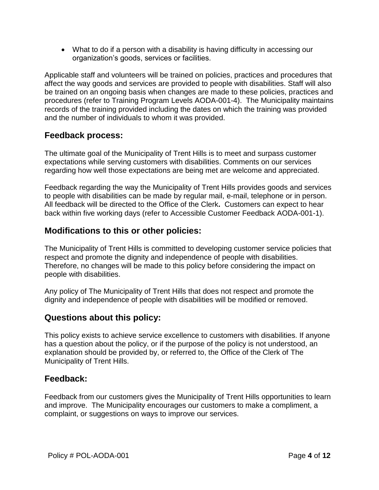What to do if a person with a disability is having difficulty in accessing our organization's goods, services or facilities.

Applicable staff and volunteers will be trained on policies, practices and procedures that affect the way goods and services are provided to people with disabilities. Staff will also be trained on an ongoing basis when changes are made to these policies, practices and procedures (refer to Training Program Levels AODA-001-4). The Municipality maintains records of the training provided including the dates on which the training was provided and the number of individuals to whom it was provided.

## **Feedback process:**

The ultimate goal of the Municipality of Trent Hills is to meet and surpass customer expectations while serving customers with disabilities. Comments on our services regarding how well those expectations are being met are welcome and appreciated.

Feedback regarding the way the Municipality of Trent Hills provides goods and services to people with disabilities can be made by regular mail, e-mail, telephone or in person. All feedback will be directed to the Office of the Clerk**.** Customers can expect to hear back within five working days (refer to Accessible Customer Feedback AODA-001-1).

## **Modifications to this or other policies:**

The Municipality of Trent Hills is committed to developing customer service policies that respect and promote the dignity and independence of people with disabilities. Therefore, no changes will be made to this policy before considering the impact on people with disabilities.

Any policy of The Municipality of Trent Hills that does not respect and promote the dignity and independence of people with disabilities will be modified or removed.

## **Questions about this policy:**

This policy exists to achieve service excellence to customers with disabilities. If anyone has a question about the policy, or if the purpose of the policy is not understood, an explanation should be provided by, or referred to, the Office of the Clerk of The Municipality of Trent Hills.

## **Feedback:**

Feedback from our customers gives the Municipality of Trent Hills opportunities to learn and improve. The Municipality encourages our customers to make a compliment, a complaint, or suggestions on ways to improve our services.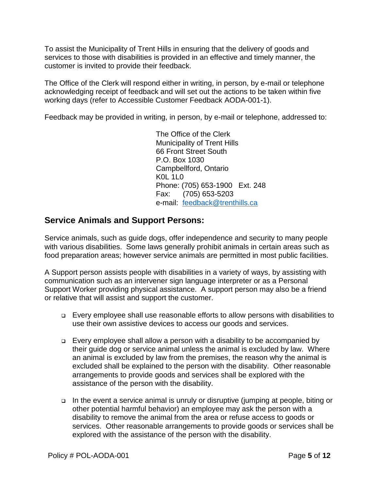To assist the Municipality of Trent Hills in ensuring that the delivery of goods and services to those with disabilities is provided in an effective and timely manner, the customer is invited to provide their feedback.

The Office of the Clerk will respond either in writing, in person, by e-mail or telephone acknowledging receipt of feedback and will set out the actions to be taken within five working days (refer to Accessible Customer Feedback AODA-001-1).

Feedback may be provided in writing, in person, by e-mail or telephone, addressed to:

The Office of the Clerk Municipality of Trent Hills 66 Front Street South P.O. Box 1030 Campbellford, Ontario K0L 1L0 Phone: (705) 653-1900 Ext. 248 Fax: (705) 653-5203 e-mail: [feedback@trenthills.ca](mailto:feedback@trenthills.ca)

## **Service Animals and Support Persons:**

Service animals, such as guide dogs, offer independence and security to many people with various disabilities. Some laws generally prohibit animals in certain areas such as food preparation areas; however service animals are permitted in most public facilities.

A Support person assists people with disabilities in a variety of ways, by assisting with communication such as an intervener sign language interpreter or as a Personal Support Worker providing physical assistance. A support person may also be a friend or relative that will assist and support the customer.

- Every employee shall use reasonable efforts to allow persons with disabilities to use their own assistive devices to access our goods and services.
- $\Box$  Every employee shall allow a person with a disability to be accompanied by their guide dog or service animal unless the animal is excluded by law. Where an animal is excluded by law from the premises, the reason why the animal is excluded shall be explained to the person with the disability. Other reasonable arrangements to provide goods and services shall be explored with the assistance of the person with the disability.
- □ In the event a service animal is unruly or disruptive (jumping at people, biting or other potential harmful behavior) an employee may ask the person with a disability to remove the animal from the area or refuse access to goods or services. Other reasonable arrangements to provide goods or services shall be explored with the assistance of the person with the disability.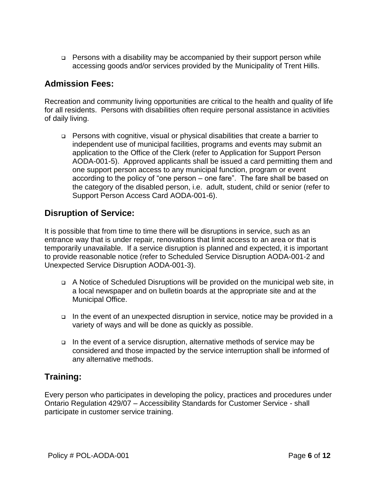□ Persons with a disability may be accompanied by their support person while accessing goods and/or services provided by the Municipality of Trent Hills.

## **Admission Fees:**

Recreation and community living opportunities are critical to the health and quality of life for all residents. Persons with disabilities often require personal assistance in activities of daily living.

 Persons with cognitive, visual or physical disabilities that create a barrier to independent use of municipal facilities, programs and events may submit an application to the Office of the Clerk (refer to Application for Support Person AODA-001-5). Approved applicants shall be issued a card permitting them and one support person access to any municipal function, program or event according to the policy of "one person – one fare". The fare shall be based on the category of the disabled person, i.e. adult, student, child or senior (refer to Support Person Access Card AODA-001-6).

## **Disruption of Service:**

It is possible that from time to time there will be disruptions in service, such as an entrance way that is under repair, renovations that limit access to an area or that is temporarily unavailable. If a service disruption is planned and expected, it is important to provide reasonable notice (refer to Scheduled Service Disruption AODA-001-2 and Unexpected Service Disruption AODA-001-3).

- A Notice of Scheduled Disruptions will be provided on the municipal web site, in a local newspaper and on bulletin boards at the appropriate site and at the Municipal Office.
- $\Box$  In the event of an unexpected disruption in service, notice may be provided in a variety of ways and will be done as quickly as possible.
- In the event of a service disruption, alternative methods of service may be considered and those impacted by the service interruption shall be informed of any alternative methods.

## **Training:**

Every person who participates in developing the policy, practices and procedures under Ontario Regulation 429/07 – Accessibility Standards for Customer Service - shall participate in customer service training.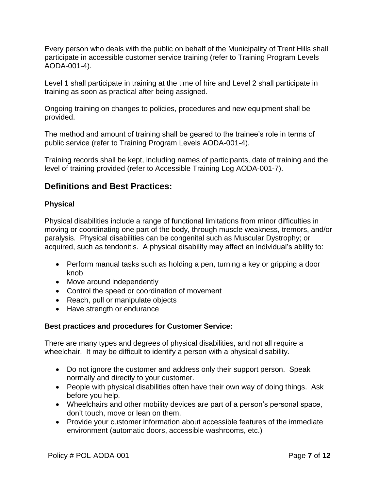Every person who deals with the public on behalf of the Municipality of Trent Hills shall participate in accessible customer service training (refer to Training Program Levels AODA-001-4).

Level 1 shall participate in training at the time of hire and Level 2 shall participate in training as soon as practical after being assigned.

Ongoing training on changes to policies, procedures and new equipment shall be provided.

The method and amount of training shall be geared to the trainee's role in terms of public service (refer to Training Program Levels AODA-001-4).

Training records shall be kept, including names of participants, date of training and the level of training provided (refer to Accessible Training Log AODA-001-7).

## **Definitions and Best Practices:**

## **Physical**

Physical disabilities include a range of functional limitations from minor difficulties in moving or coordinating one part of the body, through muscle weakness, tremors, and/or paralysis. Physical disabilities can be congenital such as Muscular Dystrophy; or acquired, such as tendonitis. A physical disability may affect an individual's ability to:

- Perform manual tasks such as holding a pen, turning a key or gripping a door knob
- Move around independently
- Control the speed or coordination of movement
- Reach, pull or manipulate objects
- Have strength or endurance

### **Best practices and procedures for Customer Service:**

There are many types and degrees of physical disabilities, and not all require a wheelchair. It may be difficult to identify a person with a physical disability.

- Do not ignore the customer and address only their support person. Speak normally and directly to your customer.
- People with physical disabilities often have their own way of doing things. Ask before you help.
- Wheelchairs and other mobility devices are part of a person's personal space, don't touch, move or lean on them.
- Provide your customer information about accessible features of the immediate environment (automatic doors, accessible washrooms, etc.)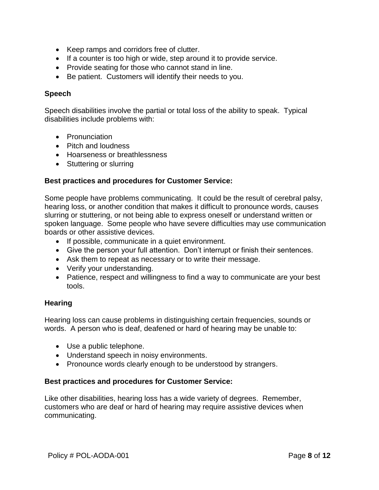- Keep ramps and corridors free of clutter.
- If a counter is too high or wide, step around it to provide service.
- Provide seating for those who cannot stand in line.
- Be patient. Customers will identify their needs to you.

### **Speech**

Speech disabilities involve the partial or total loss of the ability to speak. Typical disabilities include problems with:

- Pronunciation
- Pitch and loudness
- Hoarseness or breathlessness
- Stuttering or slurring

### **Best practices and procedures for Customer Service:**

Some people have problems communicating. It could be the result of cerebral palsy, hearing loss, or another condition that makes it difficult to pronounce words, causes slurring or stuttering, or not being able to express oneself or understand written or spoken language. Some people who have severe difficulties may use communication boards or other assistive devices.

- If possible, communicate in a quiet environment.
- Give the person your full attention. Don't interrupt or finish their sentences.
- Ask them to repeat as necessary or to write their message.
- Verify your understanding.
- Patience, respect and willingness to find a way to communicate are your best tools.

### **Hearing**

Hearing loss can cause problems in distinguishing certain frequencies, sounds or words. A person who is deaf, deafened or hard of hearing may be unable to:

- Use a public telephone.
- Understand speech in noisy environments.
- Pronounce words clearly enough to be understood by strangers.

### **Best practices and procedures for Customer Service:**

Like other disabilities, hearing loss has a wide variety of degrees. Remember, customers who are deaf or hard of hearing may require assistive devices when communicating.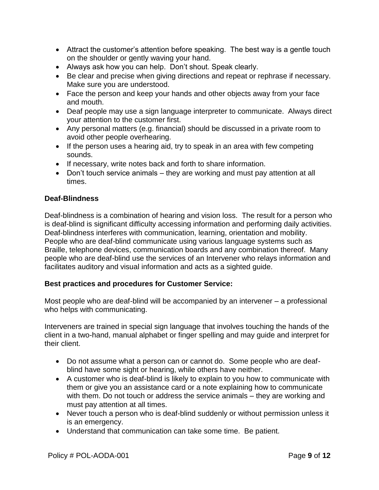- Attract the customer's attention before speaking. The best way is a gentle touch on the shoulder or gently waving your hand.
- Always ask how you can help. Don't shout. Speak clearly.
- Be clear and precise when giving directions and repeat or rephrase if necessary. Make sure you are understood.
- Face the person and keep your hands and other objects away from your face and mouth.
- Deaf people may use a sign language interpreter to communicate. Always direct your attention to the customer first.
- Any personal matters (e.g. financial) should be discussed in a private room to avoid other people overhearing.
- If the person uses a hearing aid, try to speak in an area with few competing sounds.
- If necessary, write notes back and forth to share information.
- Don't touch service animals they are working and must pay attention at all times.

### **Deaf-Blindness**

Deaf-blindness is a combination of hearing and vision loss. The result for a person who is deaf-blind is significant difficulty accessing information and performing daily activities. Deaf-blindness interferes with communication, learning, orientation and mobility. People who are deaf-blind communicate using various language systems such as Braille, telephone devices, communication boards and any combination thereof. Many people who are deaf-blind use the services of an Intervener who relays information and facilitates auditory and visual information and acts as a sighted guide.

### **Best practices and procedures for Customer Service:**

Most people who are deaf-blind will be accompanied by an intervener – a professional who helps with communicating.

Interveners are trained in special sign language that involves touching the hands of the client in a two-hand, manual alphabet or finger spelling and may guide and interpret for their client.

- Do not assume what a person can or cannot do. Some people who are deafblind have some sight or hearing, while others have neither.
- A customer who is deaf-blind is likely to explain to you how to communicate with them or give you an assistance card or a note explaining how to communicate with them. Do not touch or address the service animals – they are working and must pay attention at all times.
- Never touch a person who is deaf-blind suddenly or without permission unless it is an emergency.
- Understand that communication can take some time. Be patient.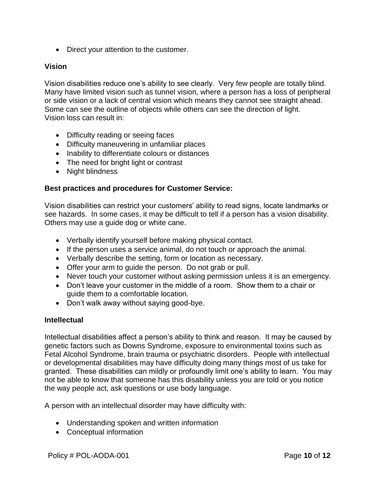• Direct your attention to the customer.

### **Vision**

Vision disabilities reduce one's ability to see clearly. Very few people are totally blind. Many have limited vision such as tunnel vision, where a person has a loss of peripheral or side vision or a lack of central vision which means they cannot see straight ahead. Some can see the outline of objects while others can see the direction of light. Vision loss can result in:

- Difficulty reading or seeing faces
- Difficulty maneuvering in unfamiliar places
- Inability to differentiate colours or distances
- The need for bright light or contrast
- Night blindness

### **Best practices and procedures for Customer Service:**

Vision disabilities can restrict your customers' ability to read signs, locate landmarks or see hazards. In some cases, it may be difficult to tell if a person has a vision disability. Others may use a guide dog or white cane.

- Verbally identify yourself before making physical contact.
- If the person uses a service animal, do not touch or approach the animal.
- Verbally describe the setting, form or location as necessary.
- Offer your arm to guide the person. Do not grab or pull.
- Never touch your customer without asking permission unless it is an emergency.
- Don't leave your customer in the middle of a room. Show them to a chair or guide them to a comfortable location.
- Don't walk away without saying good-bye.

### **Intellectual**

Intellectual disabilities affect a person's ability to think and reason. It may be caused by genetic factors such as Downs Syndrome, exposure to environmental toxins such as Fetal Alcohol Syndrome, brain trauma or psychiatric disorders. People with intellectual or developmental disabilities may have difficulty doing many things most of us take for granted. These disabilities can mildly or profoundly limit one's ability to learn. You may not be able to know that someone has this disability unless you are told or you notice the way people act, ask questions or use body language.

A person with an intellectual disorder may have difficulty with:

- Understanding spoken and written information
- Conceptual information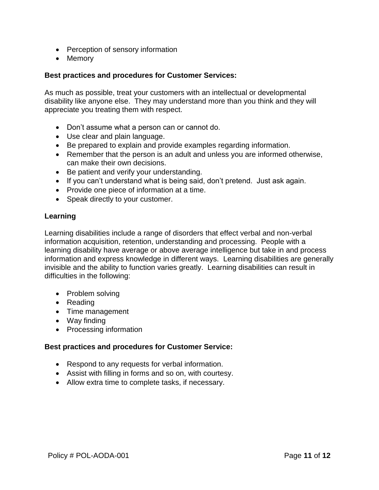- Perception of sensory information
- Memory

### **Best practices and procedures for Customer Services:**

As much as possible, treat your customers with an intellectual or developmental disability like anyone else. They may understand more than you think and they will appreciate you treating them with respect.

- Don't assume what a person can or cannot do.
- Use clear and plain language.
- Be prepared to explain and provide examples regarding information.
- Remember that the person is an adult and unless you are informed otherwise, can make their own decisions.
- Be patient and verify your understanding.
- If you can't understand what is being said, don't pretend. Just ask again.
- Provide one piece of information at a time.
- Speak directly to your customer.

### **Learning**

Learning disabilities include a range of disorders that effect verbal and non-verbal information acquisition, retention, understanding and processing. People with a learning disability have average or above average intelligence but take in and process information and express knowledge in different ways. Learning disabilities are generally invisible and the ability to function varies greatly. Learning disabilities can result in difficulties in the following:

- Problem solving
- Reading
- Time management
- Way finding
- Processing information

### **Best practices and procedures for Customer Service:**

- Respond to any requests for verbal information.
- Assist with filling in forms and so on, with courtesy.
- Allow extra time to complete tasks, if necessary.